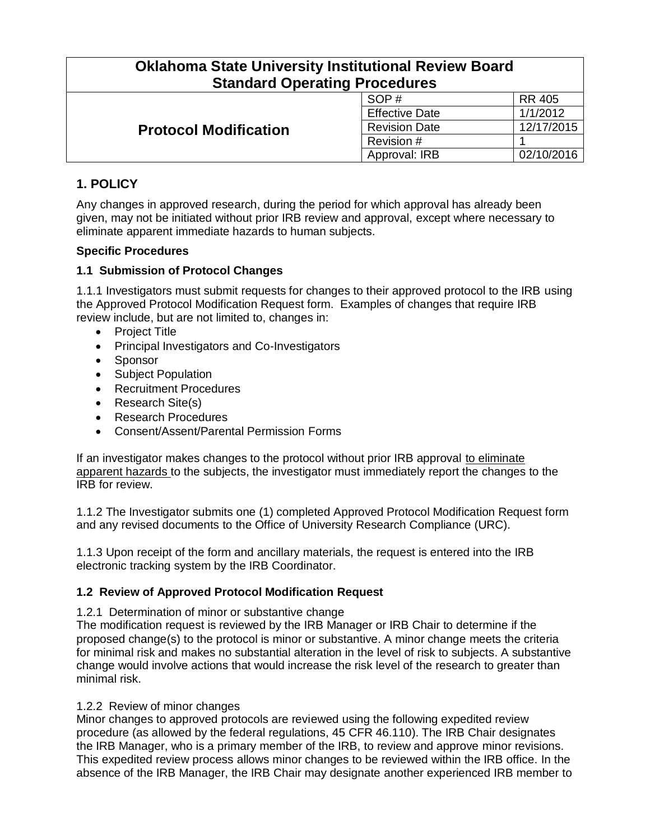| <b>Oklahoma State University Institutional Review Board</b><br><b>Standard Operating Procedures</b> |                       |            |  |
|-----------------------------------------------------------------------------------------------------|-----------------------|------------|--|
| <b>Protocol Modification</b>                                                                        | SOP#                  | RR 405     |  |
|                                                                                                     | <b>Effective Date</b> | 1/1/2012   |  |
|                                                                                                     | <b>Revision Date</b>  | 12/17/2015 |  |
|                                                                                                     | Revision #            |            |  |
|                                                                                                     | Approval: IRB         | 02/10/2016 |  |

# **1. POLICY**

Any changes in approved research, during the period for which approval has already been given, may not be initiated without prior IRB review and approval, except where necessary to eliminate apparent immediate hazards to human subjects.

#### **Specific Procedures**

## **1.1 Submission of Protocol Changes**

1.1.1 Investigators must submit requests for changes to their approved protocol to the IRB using the Approved Protocol Modification Request form. Examples of changes that require IRB review include, but are not limited to, changes in:

- Project Title
- Principal Investigators and Co-Investigators
- Sponsor
- Subject Population
- Recruitment Procedures
- Research Site(s)
- Research Procedures
- Consent/Assent/Parental Permission Forms

If an investigator makes changes to the protocol without prior IRB approval to eliminate apparent hazards to the subjects, the investigator must immediately report the changes to the IRB for review.

1.1.2 The Investigator submits one (1) completed Approved Protocol Modification Request form and any revised documents to the Office of University Research Compliance (URC).

1.1.3 Upon receipt of the form and ancillary materials, the request is entered into the IRB electronic tracking system by the IRB Coordinator.

#### **1.2 Review of Approved Protocol Modification Request**

1.2.1 Determination of minor or substantive change

The modification request is reviewed by the IRB Manager or IRB Chair to determine if the proposed change(s) to the protocol is minor or substantive. A minor change meets the criteria for minimal risk and makes no substantial alteration in the level of risk to subjects. A substantive change would involve actions that would increase the risk level of the research to greater than minimal risk.

#### 1.2.2 Review of minor changes

Minor changes to approved protocols are reviewed using the following expedited review procedure (as allowed by the federal regulations, 45 CFR 46.110). The IRB Chair designates the IRB Manager, who is a primary member of the IRB, to review and approve minor revisions. This expedited review process allows minor changes to be reviewed within the IRB office. In the absence of the IRB Manager, the IRB Chair may designate another experienced IRB member to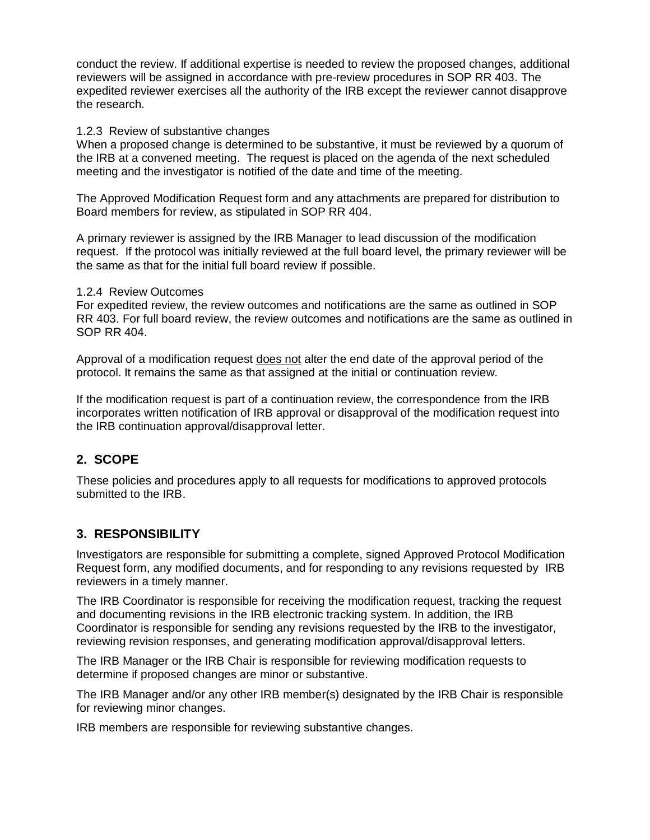conduct the review. If additional expertise is needed to review the proposed changes, additional reviewers will be assigned in accordance with pre-review procedures in SOP RR 403. The expedited reviewer exercises all the authority of the IRB except the reviewer cannot disapprove the research.

#### 1.2.3 Review of substantive changes

When a proposed change is determined to be substantive, it must be reviewed by a quorum of the IRB at a convened meeting. The request is placed on the agenda of the next scheduled meeting and the investigator is notified of the date and time of the meeting.

The Approved Modification Request form and any attachments are prepared for distribution to Board members for review, as stipulated in SOP RR 404.

A primary reviewer is assigned by the IRB Manager to lead discussion of the modification request. If the protocol was initially reviewed at the full board level, the primary reviewer will be the same as that for the initial full board review if possible.

#### 1.2.4 Review Outcomes

For expedited review, the review outcomes and notifications are the same as outlined in SOP RR 403. For full board review, the review outcomes and notifications are the same as outlined in SOP RR 404.

Approval of a modification request does not alter the end date of the approval period of the protocol. It remains the same as that assigned at the initial or continuation review.

If the modification request is part of a continuation review, the correspondence from the IRB incorporates written notification of IRB approval or disapproval of the modification request into the IRB continuation approval/disapproval letter.

## **2. SCOPE**

These policies and procedures apply to all requests for modifications to approved protocols submitted to the IRB.

## **3. RESPONSIBILITY**

Investigators are responsible for submitting a complete, signed Approved Protocol Modification Request form, any modified documents, and for responding to any revisions requested by IRB reviewers in a timely manner.

The IRB Coordinator is responsible for receiving the modification request, tracking the request and documenting revisions in the IRB electronic tracking system. In addition, the IRB Coordinator is responsible for sending any revisions requested by the IRB to the investigator, reviewing revision responses, and generating modification approval/disapproval letters.

The IRB Manager or the IRB Chair is responsible for reviewing modification requests to determine if proposed changes are minor or substantive.

The IRB Manager and/or any other IRB member(s) designated by the IRB Chair is responsible for reviewing minor changes.

IRB members are responsible for reviewing substantive changes.